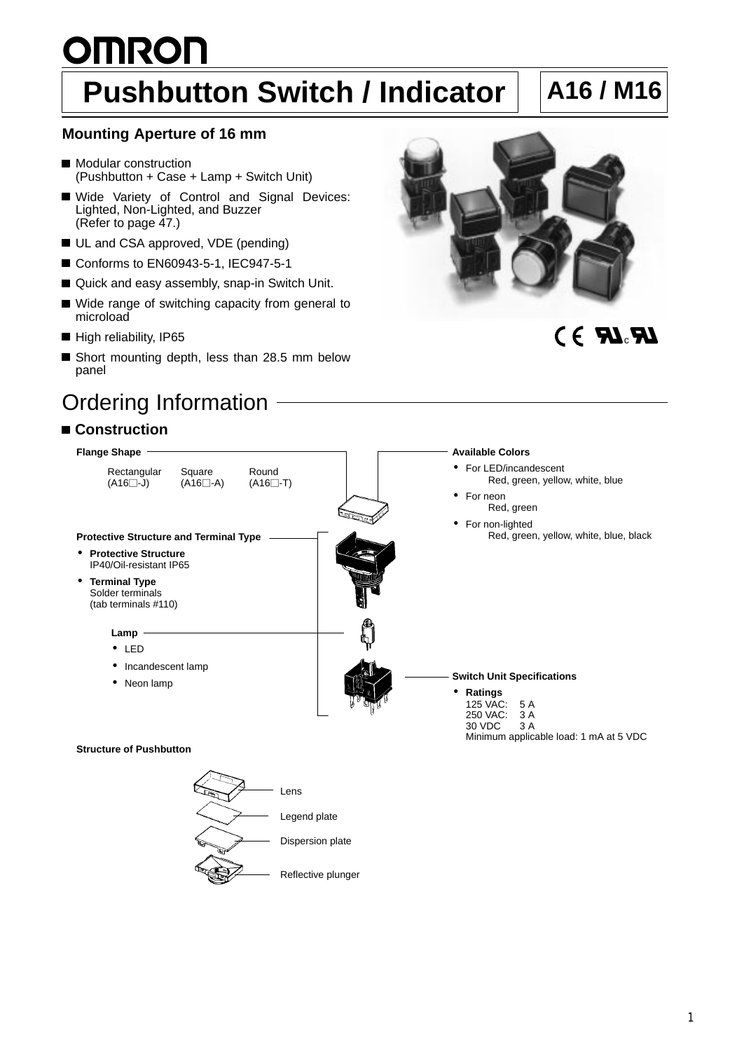# **OMRON Pushbutton Switch / Indicator | A16 / M16**

### **Mounting Aperture of 16 mm**

- **Modular construction** (Pushbutton + Case + Lamp + Switch Unit)
- Wide Variety of Control and Signal Devices: Lighted, Non-Lighted, and Buzzer (Refer to page 47.)
- UL and CSA approved, VDE (pending)
- Conforms to EN60943-5-1, IEC947-5-1
- Quick and easy assembly, snap-in Switch Unit.
- Wide range of switching capacity from general to microload
- High reliability, IP65
- Short mounting depth, less than 28.5 mm below panel

## Ordering Information

### **Construction**



## CE RI<sub>c</sub>RI



Dispersion plate

Reflective plunger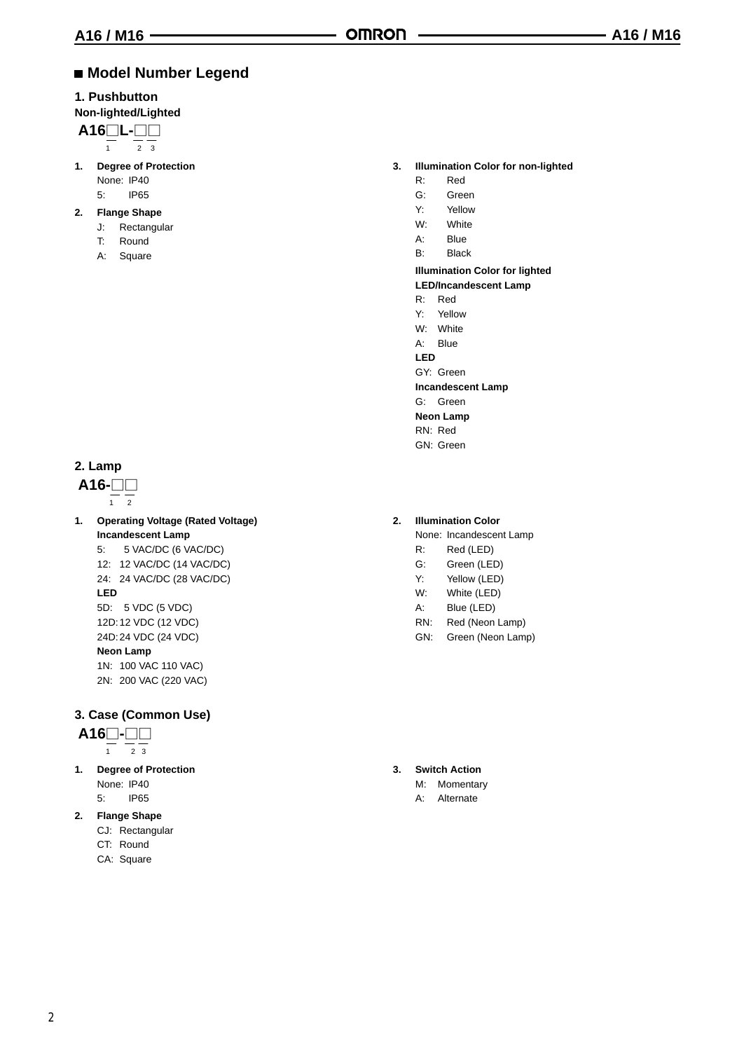#### **Model Number Legend**

#### **1. Pushbutton**

#### **Non-lighted/Lighted**

$$
A16 \underbrace{\square L}_{\underbrace{\square L}_{23}}
$$

- **1. Degree of Protection** None: IP40 5: IP65
- **2. Flange Shape**
	- J: Rectangular
	- T: Round
	- A: Square

#### **2. Lamp**



- **1. Operating Voltage (Rated Voltage) Incandescent Lamp** 5: 5 VAC/DC (6 VAC/DC)
	- 12: 12 VAC/DC (14 VAC/DC) 24: 24 VAC/DC (28 VAC/DC) **LED**

- 5D: 5 VDC (5 VDC) 12D:12 VDC (12 VDC)
- 24D:24 VDC (24 VDC)

#### **Neon Lamp**

1N: 100 VAC 110 VAC) 2N: 200 VAC (220 VAC)

#### **3. Case (Common Use)**

#### **A16-**

- $\frac{1}{1}$   $\frac{1}{2}$   $\frac{1}{3}$
- **1. Degree of Protection** None: IP40
	- 5: IP65
- **2. Flange Shape**
	- CJ: Rectangular
	- CT: Round
	- CA: Square
- **3. Illumination Color for non-lighted**
	- R: Red
	- G: Green
	- Y: Yellow
	- W: White
	- A: Blue
	- B: Black

#### **Illumination Color for lighted LED/Incandescent Lamp**

- 
- R: Red
- Y: Yellow W: White
- A: Blue
- **LED**
- GY: Green
- **Incandescent Lamp**
- G: Green
- **Neon Lamp**
- RN: Red
- GN: Green
- **2. Illumination Color**
	- None: Incandescent Lamp
	- R: Red (LED)
	- G: Green (LED)
	- Y: Yellow (LED)
	- W: White (LED)
	- A: Blue (LED)
	- RN: Red (Neon Lamp)
	- GN: Green (Neon Lamp)

- **3. Switch Action**
	- M: Momentary
	- A: Alternate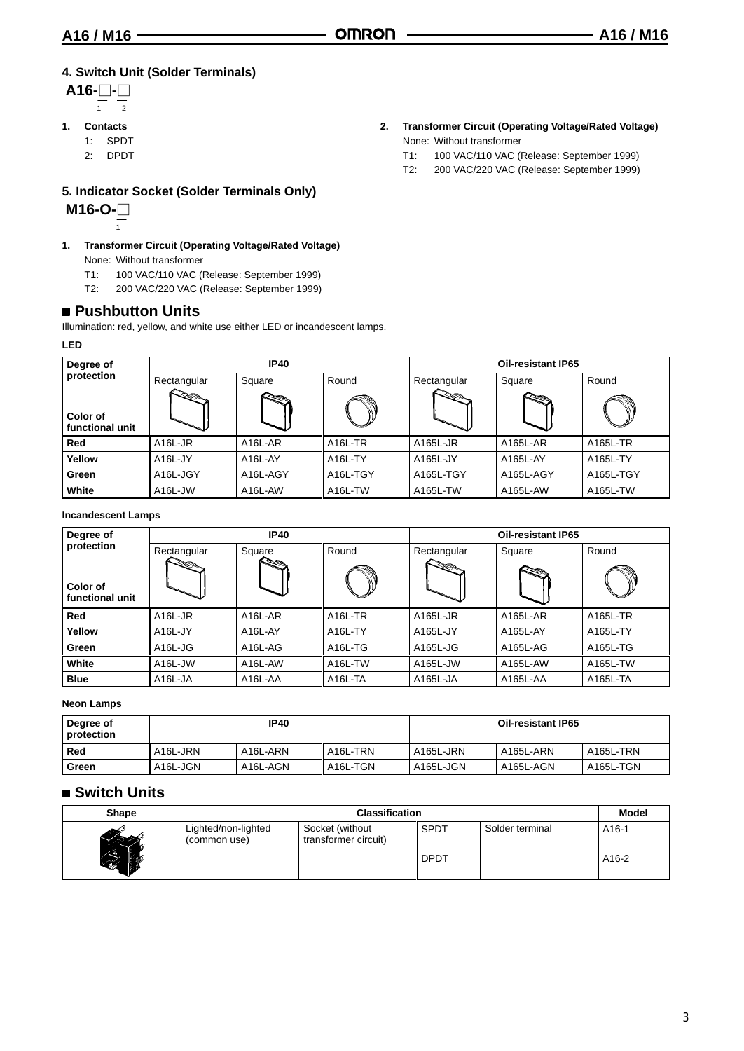#### **4. Switch Unit (Solder Terminals)**

- **A16--** 1 2
- **1. Contacts**
	- 1: SPDT
	- 2: DPDT

1

**5. Indicator Socket (Solder Terminals Only)**

**M16-O-**

- **1. Transformer Circuit (Operating Voltage/Rated Voltage)** None: Without transformer
	- T1: 100 VAC/110 VAC (Release: September 1999)
	- T2: 200 VAC/220 VAC (Release: September 1999)

#### **Pushbutton Units**

Illumination: red, yellow, and white use either LED or incandescent lamps.

**LED**

| Degree of                   |                      | <b>IP40</b>          |                      | <b>Oil-resistant IP65</b> |           |           |  |
|-----------------------------|----------------------|----------------------|----------------------|---------------------------|-----------|-----------|--|
| protection                  | Rectangular          | Square               | Round                | Rectangular               | Square    | Round     |  |
| Color of<br>functional unit |                      |                      |                      |                           |           |           |  |
| Red                         | A <sub>16</sub> L-JR | A <sub>16</sub> L-AR | A <sub>16</sub> L-TR | A165L-JR                  | A165L-AR  | A165L-TR  |  |
| Yellow                      | A <sub>16</sub> L-JY | A16L-AY              | A <sub>16</sub> L-TY | A165L-JY                  | A165L-AY  | A165L-TY  |  |
| Green                       | A16L-JGY             | A16L-AGY             | A16L-TGY             | A165L-TGY                 | A165L-AGY | A165L-TGY |  |
| White                       | A16L-JW              | A16L-AW              | A <sub>16</sub> L-TW | A165L-TW                  | A165L-AW  | A165L-TW  |  |

#### **Incandescent Lamps**

| Degree of                   |                      | <b>IP40</b>          |                      | <b>Oil-resistant IP65</b> |          |          |  |
|-----------------------------|----------------------|----------------------|----------------------|---------------------------|----------|----------|--|
| protection                  | Rectangular          | Square               | Round                | Rectangular               | Square   | Round    |  |
| Color of<br>functional unit |                      |                      |                      |                           |          |          |  |
| Red                         | A <sub>16</sub> L-JR | A <sub>16</sub> L-AR | A <sub>16</sub> L-TR | A165L-JR                  | A165L-AR | A165L-TR |  |
| Yellow                      | A <sub>16</sub> L-JY | A16L-AY              | A <sub>16</sub> L-TY | A165L-JY                  | A165L-AY | A165L-TY |  |
| Green                       | A16L-JG              | A <sub>16</sub> L-AG | A <sub>16</sub> L-TG | A165L-JG                  | A165L-AG | A165L-TG |  |
| White                       | A16L-JW              | A <sub>16</sub> L-AW | A <sub>16</sub> L-TW | A165L-JW                  | A165L-AW | A165L-TW |  |
| <b>Blue</b>                 | A16L-JA              | A16L-AA              | A <sub>16</sub> L-TA | A165L-JA                  | A165L-AA | A165L-TA |  |

**Neon Lamps**

| Degree of<br>protection | <b>IP40</b> |                       |                       | <b>Oil-resistant IP65</b> |           |           |  |
|-------------------------|-------------|-----------------------|-----------------------|---------------------------|-----------|-----------|--|
| Red                     | A16L-JRN    | A <sub>16</sub> L-ARN | A <sub>16</sub> L-TRN | A165L-JRN                 | A165L-ARN | A165L-TRN |  |
| Green                   | A16L JGN    | A16L-AGN              | A <sub>16</sub> L-TGN | A165L-JGN                 | A165L-AGN | A165L-TGN |  |

#### **Switch Units**

| <b>Shape</b> | <b>Classification</b>               |                                         |             |                 |                    |  |  |
|--------------|-------------------------------------|-----------------------------------------|-------------|-----------------|--------------------|--|--|
|              | Lighted/non-lighted<br>(common use) | Socket (without<br>transformer circuit) | <b>SPDT</b> | Solder terminal | A <sub>16</sub> -1 |  |  |
| 52           |                                     |                                         | <b>DPDT</b> |                 | A16-2              |  |  |

- **2. Transformer Circuit (Operating Voltage/Rated Voltage)** None: Without transformer
	- T1: 100 VAC/110 VAC (Release: September 1999)
	- T2: 200 VAC/220 VAC (Release: September 1999)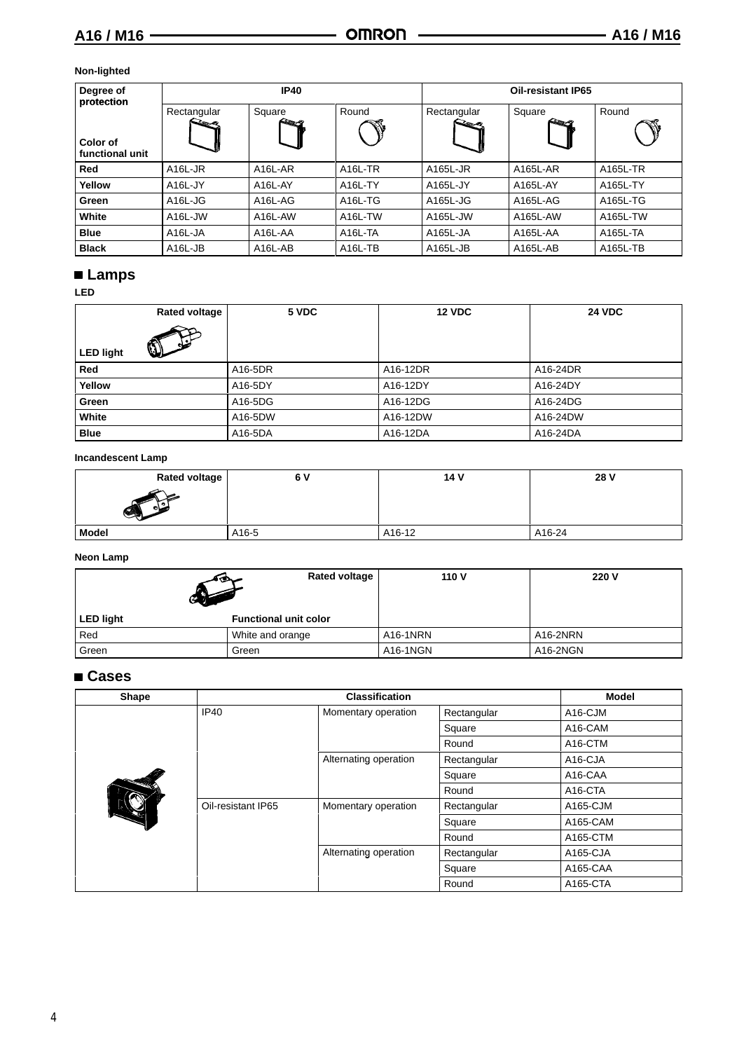#### **Non-lighted**

| Degree of<br>protection     |                      | <b>IP40</b>                      |                      | <b>Oil-resistant IP65</b>    |          |          |  |
|-----------------------------|----------------------|----------------------------------|----------------------|------------------------------|----------|----------|--|
|                             | Rectangular          | Square                           | Round                | Rectangular<br>$\rightarrow$ | Square   | Round    |  |
| Color of<br>functional unit |                      |                                  |                      |                              |          |          |  |
| Red                         | A <sub>16</sub> L-JR | A <sub>16</sub> L-AR             | A <sub>16</sub> L-TR | A165L-JR                     | A165L-AR | A165L-TR |  |
| Yellow                      | A <sub>16</sub> L-JY | A16L-AY                          | A16L-TY              | A165L-JY                     | A165L-AY | A165L-TY |  |
| Green                       | A <sub>16</sub> L-JG | A16L-AG                          | A <sub>16L-TG</sub>  | A165L-JG                     | A165L-AG | A165L-TG |  |
| White                       | A16L-JW              | A16L-AW                          | A <sub>16</sub> L-TW | A165L-JW                     | A165L-AW | A165L-TW |  |
| <b>Blue</b>                 | A <sub>16</sub> L-JA | A16L-AA                          | A <sub>16</sub> L-TA | A165L-JA                     | A165L-AA | A165L-TA |  |
| <b>Black</b>                | A <sub>16</sub> L-JB | A <sub>16</sub> L-A <sub>B</sub> | A <sub>16L</sub> -TB | A165L-JB                     | A165L-AB | A165L-TB |  |

## **Lamps**

**LED**

|                  | <b>Rated voltage</b> | 5 VDC   | <b>12 VDC</b> | <b>24 VDC</b> |
|------------------|----------------------|---------|---------------|---------------|
|                  | $\mathbb O$          |         |               |               |
| <b>LED light</b> |                      |         |               |               |
| Red              |                      | A16-5DR | A16-12DR      | A16-24DR      |
| Yellow           |                      | A16-5DY | A16-12DY      | A16-24DY      |
| Green            |                      | A16-5DG | A16-12DG      | A16-24DG      |
| White            |                      | A16-5DW | A16-12DW      | A16-24DW      |
| <b>Blue</b>      |                      | A16-5DA | A16-12DA      | A16-24DA      |

**Incandescent Lamp**

| <b>Rated voltage</b> | 6 V   | 14 V   | 28 V   |
|----------------------|-------|--------|--------|
| $\sqrt{2}$           |       |        |        |
| <b>Model</b>         | A16-5 | A16-12 | A16-24 |

#### **Neon Lamp**

| কে               | <b>Rated voltage</b>         | 110 V    | 220 V    |
|------------------|------------------------------|----------|----------|
| <b>LED light</b> | <b>Functional unit color</b> |          |          |
| Red              | White and orange             | A16-1NRN | A16-2NRN |
| Green            | Green                        | A16-1NGN | A16-2NGN |

### **Cases**

| Shape |                    | <b>Classification</b> |             | <b>Model</b>         |
|-------|--------------------|-----------------------|-------------|----------------------|
|       | <b>IP40</b>        | Momentary operation   | Rectangular | A <sub>16</sub> -CJM |
|       |                    |                       | Square      | A16-CAM              |
|       |                    |                       | Round       | A <sub>16</sub> -CTM |
|       |                    | Alternating operation | Rectangular | A <sub>16</sub> -CJA |
|       |                    |                       | Square      | A16-CAA              |
|       |                    |                       | Round       | A <sub>16</sub> -CTA |
|       | Oil-resistant IP65 | Momentary operation   | Rectangular | A165-CJM             |
|       |                    |                       | Square      | A165-CAM             |
|       |                    |                       | Round       | A165-CTM             |
|       |                    | Alternating operation | Rectangular | A165-CJA             |
|       |                    |                       | Square      | A165-CAA             |
|       |                    |                       | Round       | A165-CTA             |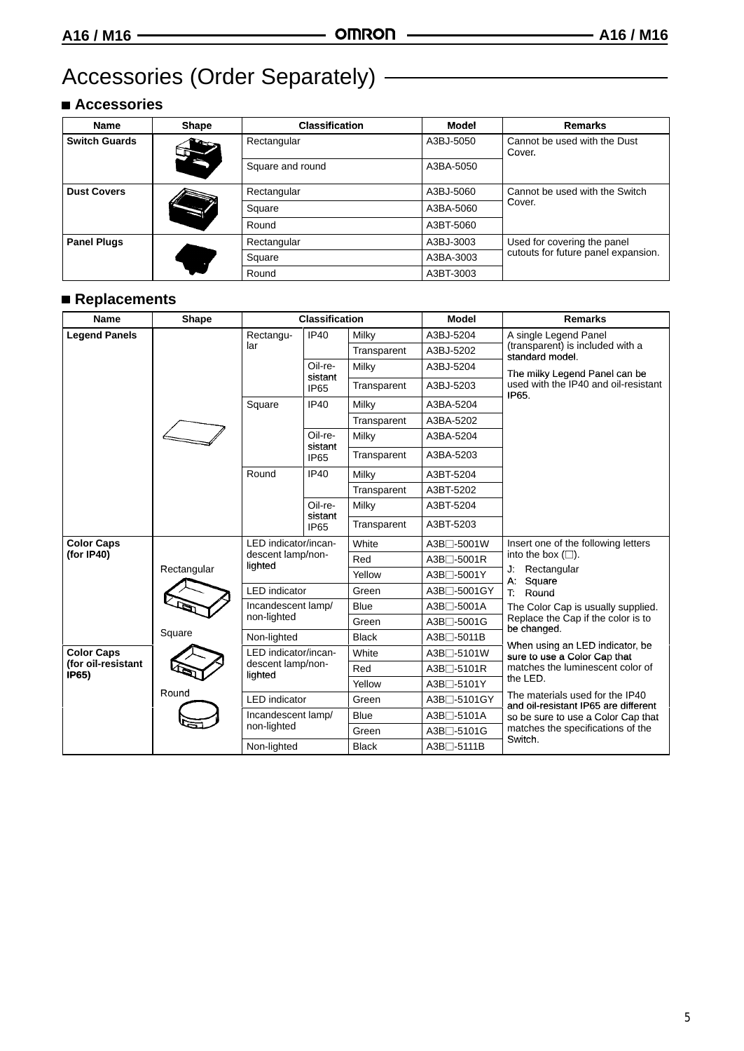## Accessories (Order Separately) **Constructs**

### **Accessories**

| <b>Name</b>          | <b>Shape</b> | <b>Classification</b> | <b>Model</b> | <b>Remarks</b>                         |
|----------------------|--------------|-----------------------|--------------|----------------------------------------|
| <b>Switch Guards</b> |              | Rectangular           | A3BJ-5050    | Cannot be used with the Dust<br>Cover. |
|                      | e            | Square and round      | A3BA-5050    |                                        |
| <b>Dust Covers</b>   |              | Rectangular           | A3BJ-5060    | Cannot be used with the Switch         |
|                      |              | Square                | A3BA-5060    | Cover.                                 |
|                      |              | Round                 | A3BT-5060    |                                        |
| <b>Panel Plugs</b>   |              | Rectangular           | A3BJ-3003    | Used for covering the panel            |
|                      |              | Square                | A3BA-3003    | cutouts for future panel expansion.    |
|                      |              | Round                 | A3BT-3003    |                                        |

## **Replacements**

| <b>Name</b>                 | Shape       |                                                      | <b>Classification</b>       |              | <b>Model</b>            | <b>Remarks</b>                                                          |  |
|-----------------------------|-------------|------------------------------------------------------|-----------------------------|--------------|-------------------------|-------------------------------------------------------------------------|--|
| <b>Legend Panels</b>        |             | Rectangu-                                            | IP40                        | Milky        | A3BJ-5204               | A single Legend Panel                                                   |  |
|                             |             | lar                                                  |                             | Transparent  | A3BJ-5202               | (transparent) is included with a<br>standard model.                     |  |
|                             |             |                                                      | Oil-re-                     | Milky        | A3BJ-5204               | The milky Legend Panel can be                                           |  |
|                             |             |                                                      | sistant<br>IP <sub>65</sub> | Transparent  | A3BJ-5203               | used with the IP40 and oil-resistant<br>IP65.                           |  |
|                             |             | Square                                               | IP40                        | Milky        | A3BA-5204               |                                                                         |  |
|                             |             |                                                      |                             | Transparent  | A3BA-5202               |                                                                         |  |
|                             |             |                                                      | Oil-re-<br>sistant          | Milky        | A3BA-5204               |                                                                         |  |
|                             |             |                                                      | IP <sub>65</sub>            | Transparent  | A3BA-5203               |                                                                         |  |
|                             |             | Round                                                | <b>IP40</b>                 | Milky        | A3BT-5204               |                                                                         |  |
|                             |             |                                                      |                             | Transparent  | A3BT-5202               |                                                                         |  |
|                             |             |                                                      | Oil-re-                     | Milky        | A3BT-5204               |                                                                         |  |
|                             |             |                                                      | sistant<br>IP65             | Transparent  | A3BT-5203               |                                                                         |  |
| <b>Color Caps</b>           | Rectangular | LED indicator/incan-<br>descent lamp/non-<br>lighted |                             | White        | A3B□-5001W              | Insert one of the following letters                                     |  |
| (for IP40)                  |             |                                                      |                             | Red          | A3B <sub>1</sub> -5001R | into the box $(\square)$ .                                              |  |
|                             |             |                                                      |                             | Yellow       | A3B□-5001Y              | J: Rectangular<br>A: Square                                             |  |
|                             |             | <b>LED</b> indicator                                 |                             | Green        | A3B□-5001GY             | T.<br>Round                                                             |  |
|                             |             |                                                      | Incandescent lamp/          |              | A3B <sub>□</sub> -5001A | The Color Cap is usually supplied.                                      |  |
|                             |             | non-lighted                                          |                             | Green        | A3B□-5001G              | Replace the Cap if the color is to<br>be changed.                       |  |
|                             | Square      | Non-lighted                                          |                             | <b>Black</b> | $A3B$ $-5011B$          | When using an LED indicator, be                                         |  |
| <b>Color Caps</b>           |             | LED indicator/incan-                                 |                             | White        | A3B <sup>-5101</sup> W  | sure to use a Color Cap that                                            |  |
| (for oil-resistant<br>IP65) |             | descent lamp/non-<br>lighted                         |                             | Red          | $A3B$ $-5101R$          | matches the luminescent color of                                        |  |
|                             |             |                                                      |                             | Yellow       | $A3B$ $-5101Y$          | the LED.                                                                |  |
|                             | Round       | <b>LED</b> indicator                                 |                             | Green        | A3B <sup>-5101</sup> GY | The materials used for the IP40<br>and oil-resistant IP65 are different |  |
|                             |             | Incandescent lamp/                                   |                             | Blue         | A3B□-5101A              | so be sure to use a Color Cap that                                      |  |
|                             |             | non-lighted                                          |                             | Green        | A3B□-5101G              | matches the specifications of the                                       |  |
|                             |             | Non-lighted                                          |                             | <b>Black</b> | A3B□-5111B              | Switch.                                                                 |  |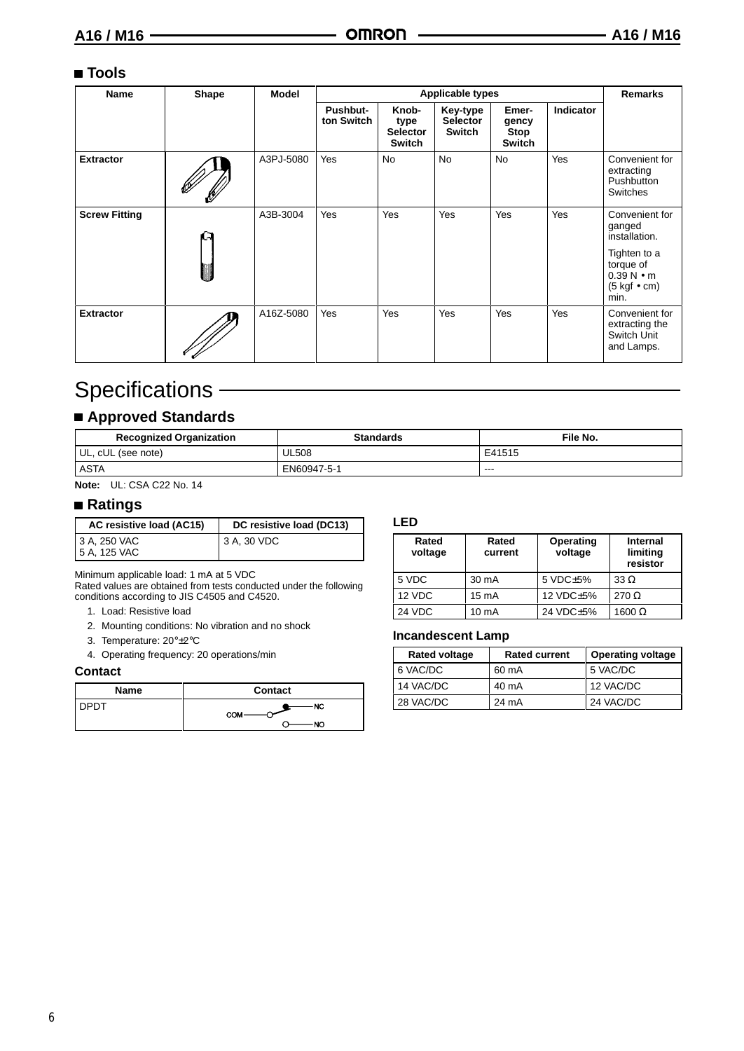#### **Tools**

| Name                 | Shape | Model     |                               | <b>Applicable types</b>                    |                                              |                                         |                  |                                                                                                                                           |
|----------------------|-------|-----------|-------------------------------|--------------------------------------------|----------------------------------------------|-----------------------------------------|------------------|-------------------------------------------------------------------------------------------------------------------------------------------|
|                      |       |           | <b>Pushbut-</b><br>ton Switch | Knob-<br>type<br><b>Selector</b><br>Switch | Key-type<br><b>Selector</b><br><b>Switch</b> | Emer-<br>gency<br><b>Stop</b><br>Switch | <b>Indicator</b> |                                                                                                                                           |
| <b>Extractor</b>     |       | A3PJ-5080 | Yes                           | <b>No</b>                                  | <b>No</b>                                    | <b>No</b>                               | Yes              | Convenient for<br>extracting<br>Pushbutton<br>Switches                                                                                    |
| <b>Screw Fitting</b> |       | A3B-3004  | <b>Yes</b>                    | Yes                                        | Yes                                          | Yes                                     | <b>Yes</b>       | Convenient for<br>ganged<br>installation.<br>Tighten to a<br>torque of<br>$0.39 N \cdot m$<br>$(5 \text{ kgf} \bullet \text{cm})$<br>min. |
| <b>Extractor</b>     |       | A16Z-5080 | Yes                           | Yes                                        | Yes                                          | Yes                                     | Yes              | Convenient for<br>extracting the<br>Switch Unit<br>and Lamps.                                                                             |

## Specifications -

### **Approved Standards**

| <b>Recognized Organization</b> | <b>Standards</b> | File No. |
|--------------------------------|------------------|----------|
| UL, cUL (see note)             | <b>UL508</b>     | E41515   |
| <b>ASTA</b>                    | EN60947-5-1      | $- - -$  |

**Note:** UL: CSA C22 No. 14

#### **Ratings**

| AC resistive load (AC15)     | DC resistive load (DC13) |
|------------------------------|--------------------------|
| 3 A, 250 VAC<br>5 A, 125 VAC | 13 A, 30 VDC             |

Minimum applicable load: 1 mA at 5 VDC

Rated values are obtained from tests conducted under the following conditions according to JIS C4505 and C4520.

- 1. Load: Resistive load
- 2. Mounting conditions: No vibration and no shock
- 3. Temperature: 20°±2°C
- 4. Operating frequency: 20 operations/min

#### **Contact**

| <b>Name</b> | Contact   |
|-------------|-----------|
|             | NC<br>сом |
|             | NO        |

#### **LED**

| Rated<br>voltage | Rated<br>current | Operating<br>voltage | Internal<br>limiting<br>resistor |
|------------------|------------------|----------------------|----------------------------------|
| 5 VDC            | 30 mA            | 5 VDC±5%             | $33 \Omega$                      |
| 12 VDC           | $15 \text{ mA}$  | 12 VDC±5%            | $270 \Omega$                     |
| 24 VDC           | 10 mA            | 24 VDC±5%            | $1600 \Omega$                    |

#### **Incandescent Lamp**

| <b>Rated voltage</b> | <b>Rated current</b> | <b>Operating voltage</b> |
|----------------------|----------------------|--------------------------|
| 6 VAC/DC             | 60 mA                | 5 VAC/DC                 |
| 14 VAC/DC            | 40 mA                | 12 VAC/DC                |
| 28 VAC/DC            | 24 mA                | 24 VAC/DC                |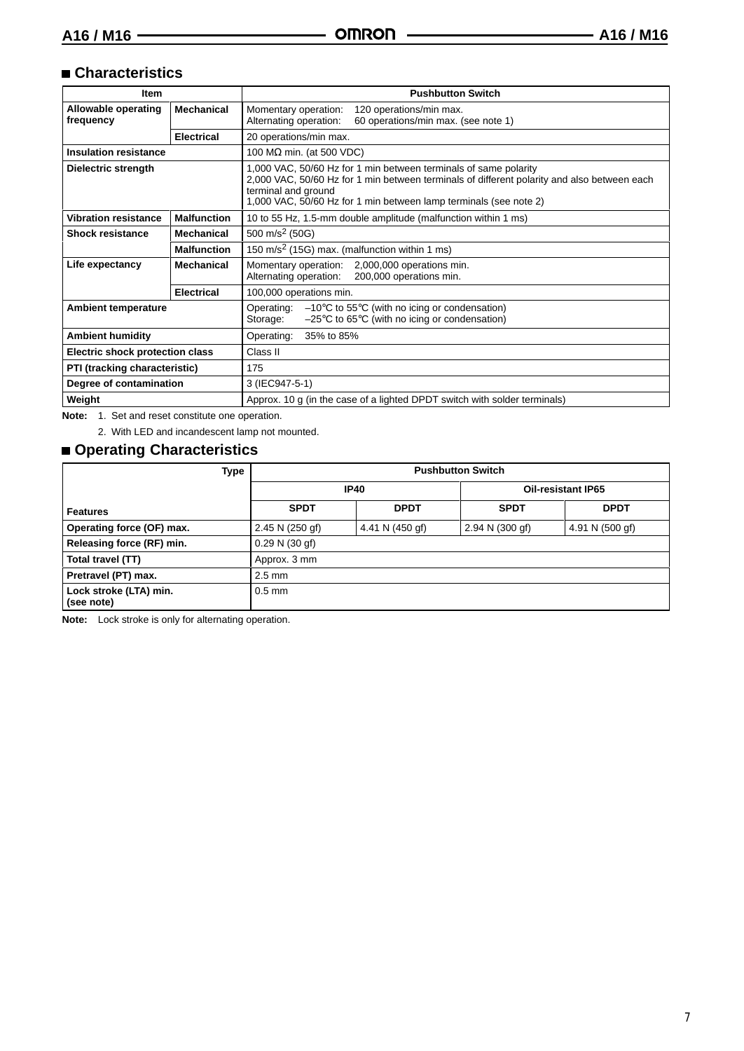#### **Characteristics**

|                                              | <b>Pushbutton Switch</b>                                                                                                                                                                                                                                    |  |  |
|----------------------------------------------|-------------------------------------------------------------------------------------------------------------------------------------------------------------------------------------------------------------------------------------------------------------|--|--|
| <b>Mechanical</b>                            | Momentary operation:<br>120 operations/min max.<br>60 operations/min max. (see note 1)<br>Alternating operation:                                                                                                                                            |  |  |
| <b>Electrical</b>                            | 20 operations/min max.                                                                                                                                                                                                                                      |  |  |
|                                              | 100 M $\Omega$ min. (at 500 VDC)                                                                                                                                                                                                                            |  |  |
|                                              | 1,000 VAC, 50/60 Hz for 1 min between terminals of same polarity<br>2,000 VAC, 50/60 Hz for 1 min between terminals of different polarity and also between each<br>terminal and ground<br>1,000 VAC, 50/60 Hz for 1 min between lamp terminals (see note 2) |  |  |
| <b>Malfunction</b>                           | 10 to 55 Hz, 1.5-mm double amplitude (malfunction within 1 ms)                                                                                                                                                                                              |  |  |
| Mechanical                                   | 500 m/s <sup>2</sup> (50G)                                                                                                                                                                                                                                  |  |  |
| <b>Malfunction</b>                           | 150 m/s <sup>2</sup> (15G) max. (malfunction within 1 ms)                                                                                                                                                                                                   |  |  |
| <b>Mechanical</b>                            | 2,000,000 operations min.<br>Momentary operation:<br>Alternating operation:<br>200,000 operations min.                                                                                                                                                      |  |  |
| <b>Electrical</b><br>100,000 operations min. |                                                                                                                                                                                                                                                             |  |  |
|                                              | Operating:<br>$-10^{\circ}$ C to 55 $^{\circ}$ C (with no icing or condensation)<br>$-25^{\circ}$ C to 65 $^{\circ}$ C (with no icing or condensation)<br>Storage:                                                                                          |  |  |
|                                              | Operating:<br>35% to 85%                                                                                                                                                                                                                                    |  |  |
|                                              | Class II                                                                                                                                                                                                                                                    |  |  |
| PTI (tracking characteristic)<br>175         |                                                                                                                                                                                                                                                             |  |  |
|                                              | 3 (IEC947-5-1)                                                                                                                                                                                                                                              |  |  |
|                                              | Approx. 10 g (in the case of a lighted DPDT switch with solder terminals)                                                                                                                                                                                   |  |  |
|                                              | <b>Electric shock protection class</b><br>Degree of contamination                                                                                                                                                                                           |  |  |

**Note:** 1. Set and reset constitute one operation.

2. With LED and incandescent lamp not mounted.

### **Operating Characteristics**

| Type                                 | <b>Pushbutton Switch</b> |                           |                           |                 |
|--------------------------------------|--------------------------|---------------------------|---------------------------|-----------------|
|                                      | <b>IP40</b>              |                           | <b>Oil-resistant IP65</b> |                 |
| Features                             | <b>SPDT</b>              | <b>DPDT</b>               | <b>SPDT</b>               | <b>DPDT</b>     |
| <b>Operating force (OF) max.</b>     | 2.45 N (250 gf)          | 4.41 N $(450 \text{ gf})$ | 2.94 N (300 gf)           | 4.91 N (500 gf) |
| Releasing force (RF) min.            | 0.29 N (30 gf)           |                           |                           |                 |
| Total travel (TT)                    | Approx. 3 mm             |                           |                           |                 |
| Pretravel (PT) max.                  | $2.5 \text{ mm}$         |                           |                           |                 |
| Lock stroke (LTA) min.<br>(see note) | $0.5$ mm                 |                           |                           |                 |

**Note:** Lock stroke is only for alternating operation.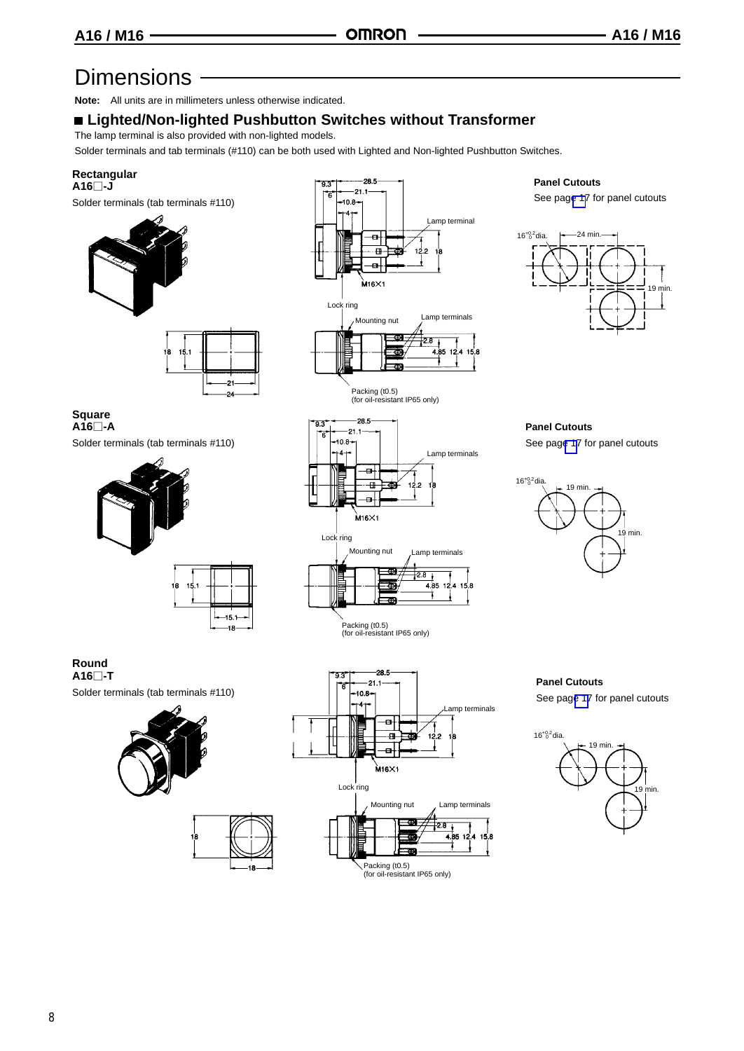## Dimensions ·

**Note:** All units are in millimeters unless otherwise indicated.

### **Lighted/Non-lighted Pushbutton Switches without Transformer**

The lamp terminal is also provided with non-lighted models.

Solder terminals and tab terminals (#110) can be both used with Lighted and Non-lighted Pushbutton Switches.

#### **Rectangular A16-J**

Solder terminals (tab terminals #110)





 $28.5$  $-21.1$  $-10.8 +4+$ 

> $\overline{a}$  $\overline{+}$

Ð

Lamp terminals

 $4.85$  12.4 15.8

ł

و ژ1

 $\frac{1}{28}$ 

#### **Panel Cutouts**

See pag[e 17](#page-9-0) for panel cutouts



**Panel Cutouts** See pag[e 17](#page-9-0) for panel cutouts

19 min. 19 min.  $16^{+0.2}$ dia.

#### **Square A16-A**

Solder terminals (tab terminals #110)





Packing (t0.5) (for oil-resistant IP65 only)

#### **Round A16-T**

Solder terminals (tab terminals #110)





-18



**Panel Cutouts**

See pag[e 17](#page-9-0) for panel cutouts

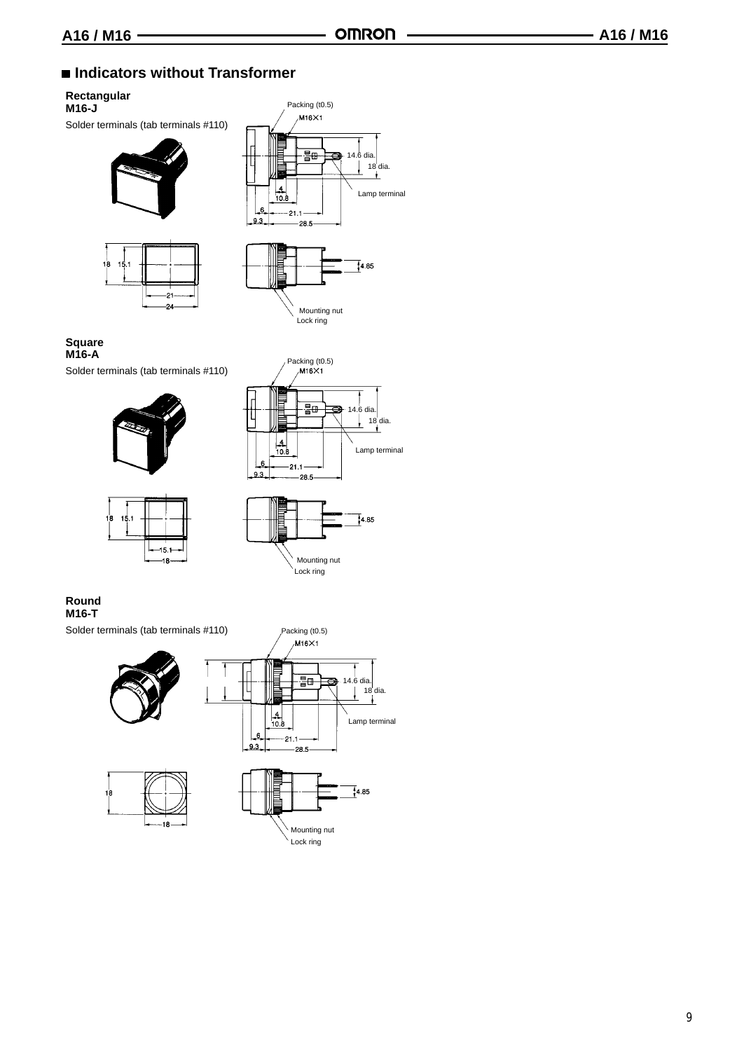### ■ Indicators without Transformer

#### **Rectangular**

**M16-J** Solder terminals (tab terminals #110)











#### **Square M16-A**

ie.

Solder terminals (tab terminals #110)









#### **Round M16-T**

Solder terminals (tab terminals #110)







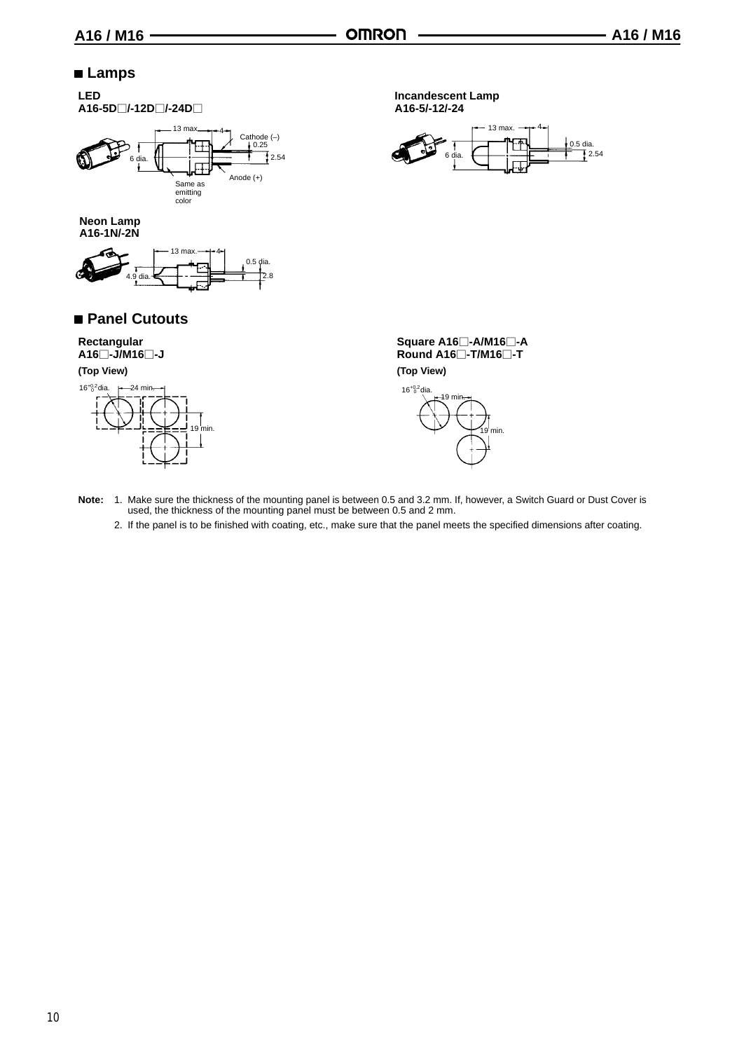$\frac{0.5 \text{ dia}}{12.54}$ 

4

<span id="page-9-0"></span>

- **Note:** 1. Make sure the thickness of the mounting panel is between 0.5 and 3.2 mm. If, however, a Switch Guard or Dust Cover is used, the thickness of the mounting panel must be between 0.5 and 2 mm.
	- 2. If the panel is to be finished with coating, etc., make sure that the panel meets the specified dimensions after coating.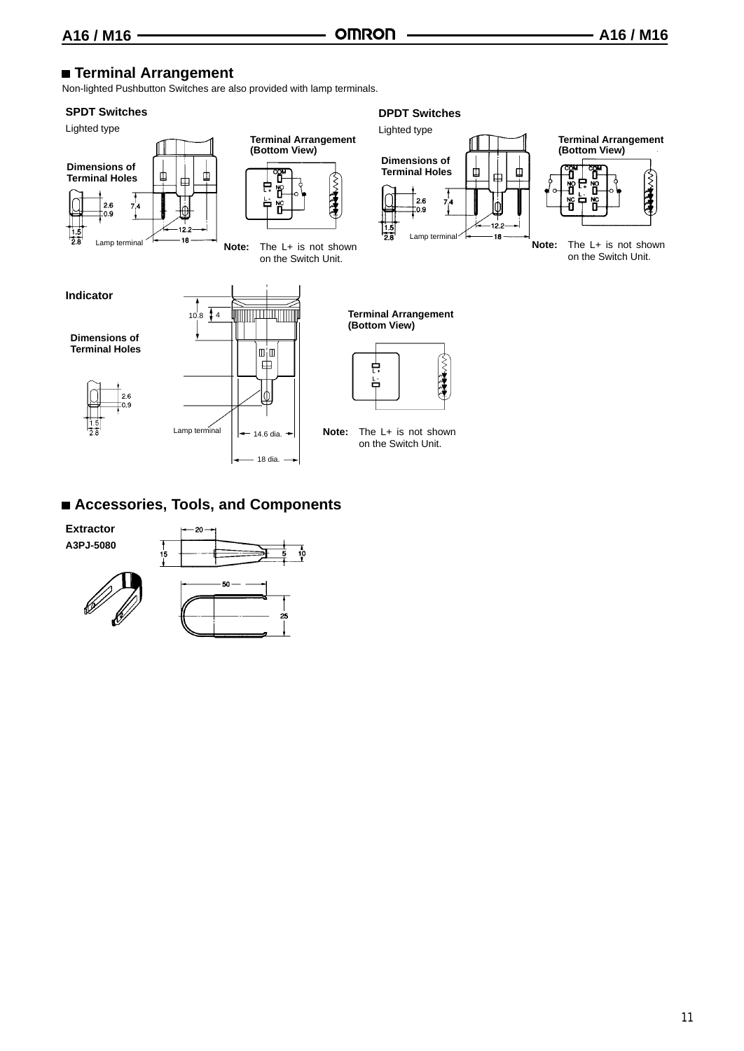### **Terminal Arrangement**

Non-lighted Pushbutton Switches are also provided with lamp terminals.

#### **SPDT Switches**





#### **DPDT Switches**



## **(Bottom View)** (~) 大学

**Note:** The L+ is not shown on the Switch Unit.

**Terminal Arrangement (Bottom View)**



**Note:** The L+ is not shown on the Switch Unit.

### **Accessories, Tools, and Components**

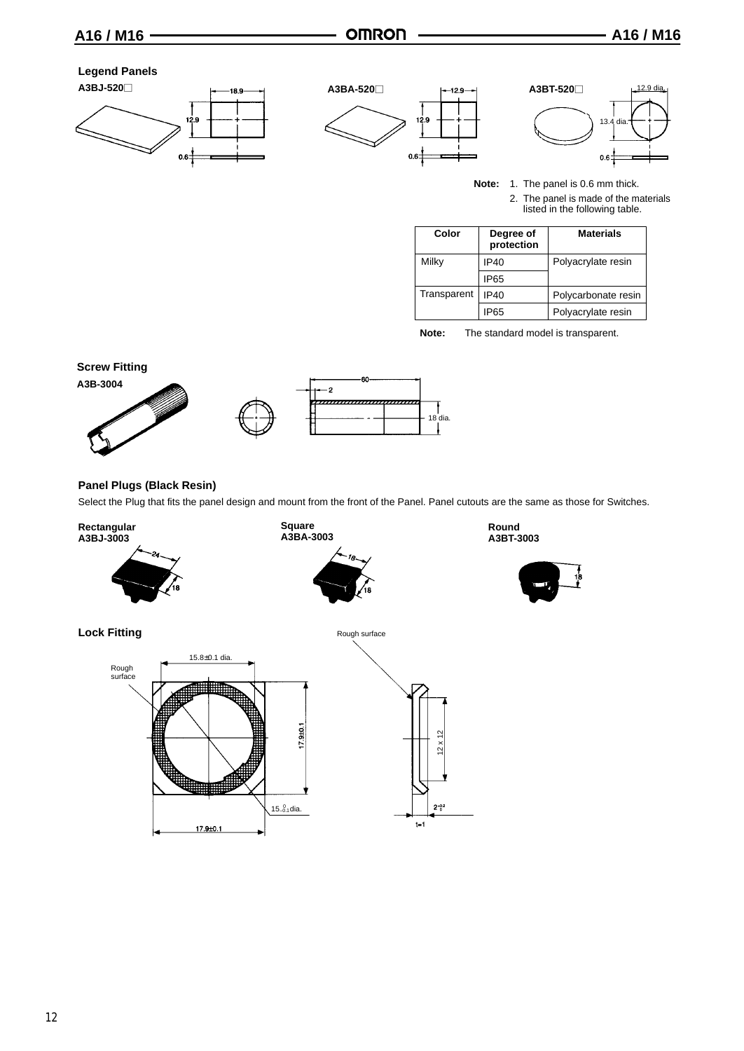#### **Legend Panels**







**Note:** 1. The panel is 0.6 mm thick. 2. The panel is made of the materials listed in the following table.

| Color       | Degree of<br>protection | <b>Materials</b>    |
|-------------|-------------------------|---------------------|
| Milky       | IP40                    | Polyacrylate resin  |
|             | IP65                    |                     |
| Transparent | IP40                    | Polycarbonate resin |
|             | IP65                    | Polyacrylate resin  |

**Note:** The standard model is transparent.



#### **Panel Plugs (Black Resin)**

Select the Plug that fits the panel design and mount from the front of the Panel. Panel cutouts are the same as those for Switches.

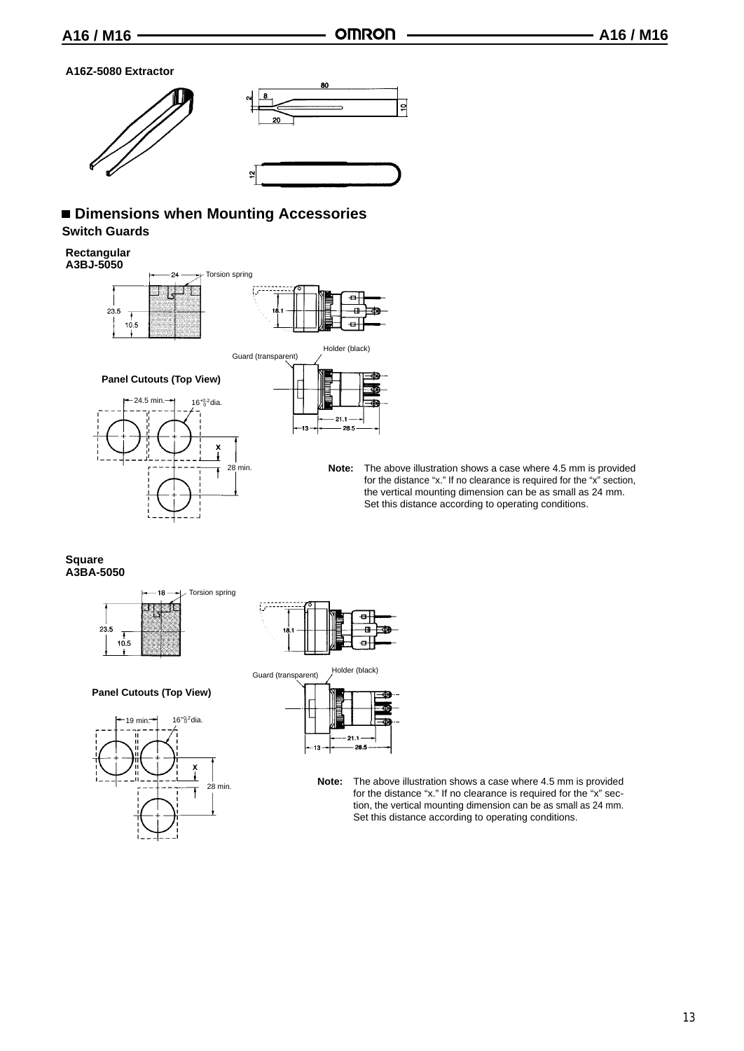#### **A16Z-5080 Extractor**



#### **Dimensions when Mounting Accessories Switch Guards**

#### **Rectangular**



**Note:** The above illustration shows a case where 4.5 mm is provided for the distance "x." If no clearance is required for the "x" section, the vertical mounting dimension can be as small as 24 mm. Set this distance according to operating conditions.

#### **Square A3BA-5050**



#### **Panel Cutouts (Top View)**





Guard (transparent) Holder (black)

|  |  | 21.1<br>28.5 |  |
|--|--|--------------|--|

**Note:** The above illustration shows a case where 4.5 mm is provided for the distance "x." If no clearance is required for the "x" section, the vertical mounting dimension can be as small as 24 mm. Set this distance according to operating conditions.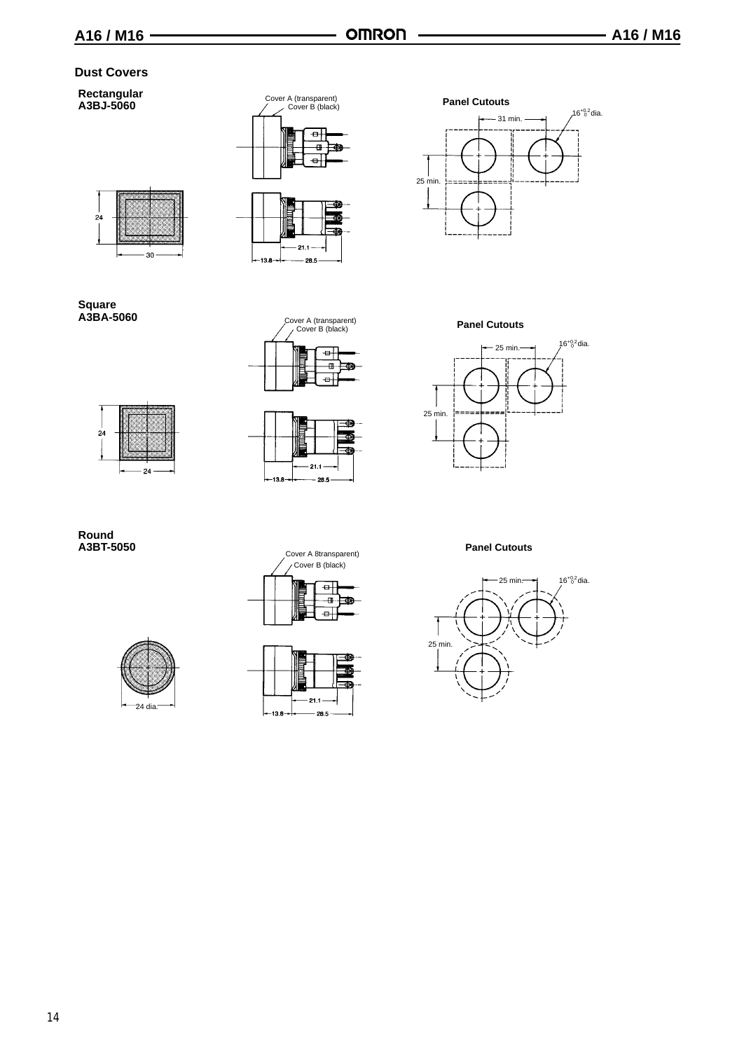#### **Dust Covers**

#### **Rectangular A3BJ-5060**







# $\overline{24}$ 30



Cover A (transparent) Cover B (black) ¢J m. æ  $\overline{a}$ 





**Panel Cutouts**



**Panel Cutouts** 



## **Round**





Cover A 8transparent) Cover B (black)

> $\oplus$ Ð

 $-21.$  $-138$ - 28.5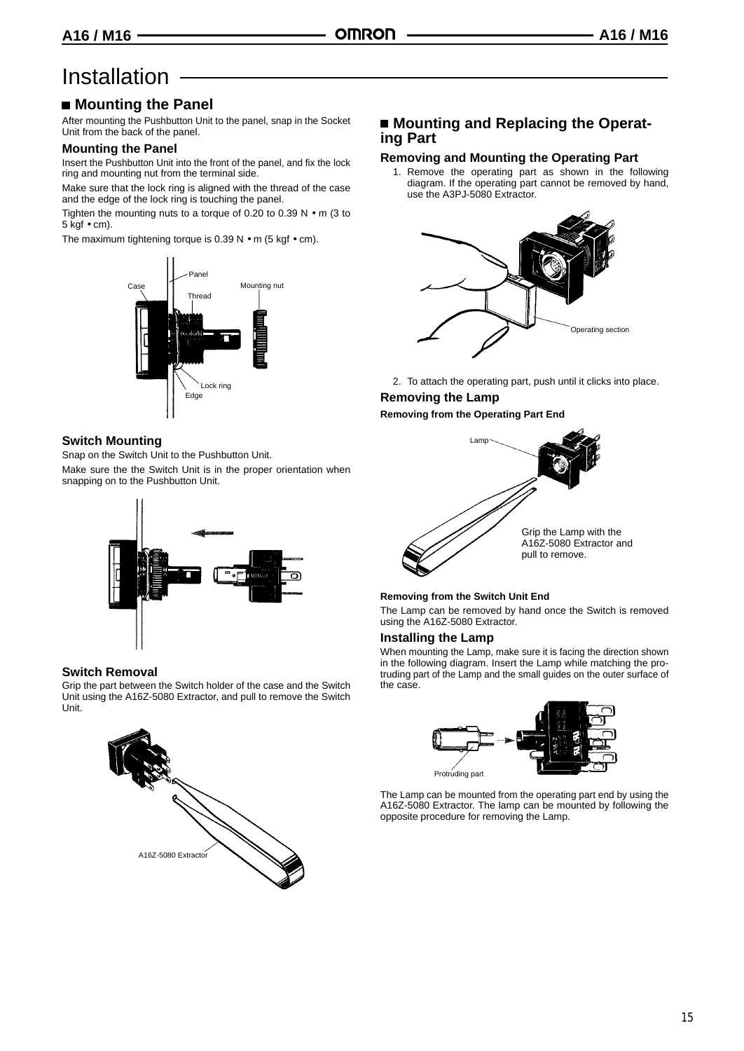## **Installation**

### **Mounting the Panel**

After mounting the Pushbutton Unit to the panel, snap in the Socket Unit from the back of the panel.

#### **Mounting the Panel**

Insert the Pushbutton Unit into the front of the panel, and fix the lock ring and mounting nut from the terminal side.

Make sure that the lock ring is aligned with the thread of the case and the edge of the lock ring is touching the panel.

Tighten the mounting nuts to a torque of 0.20 to 0.39 N • m (3 to 5 kgf • cm).

The maximum tightening torque is  $0.39$  N  $\bullet$  m (5 kgf  $\bullet$  cm).



#### **Switch Mounting**

Snap on the Switch Unit to the Pushbutton Unit. Make sure the the Switch Unit is in the proper orientation when snapping on to the Pushbutton Unit.



#### **Switch Removal**

Grip the part between the Switch holder of the case and the Switch Unit using the A16Z-5080 Extractor, and pull to remove the Switch Unit.



#### ■ Mounting and Replacing the Operat**ing Part**

#### **Removing and Mounting the Operating Part**

1. Remove the operating part as shown in the following diagram. If the operating part cannot be removed by hand, use the A3PJ-5080 Extractor.



2. To attach the operating part, push until it clicks into place.

#### **Removing the Lamp Removing from the Operating Part End**



#### **Removing from the Switch Unit End**

The Lamp can be removed by hand once the Switch is removed using the A16Z-5080 Extractor.

#### **Installing the Lamp**

When mounting the Lamp, make sure it is facing the direction shown in the following diagram. Insert the Lamp while matching the protruding part of the Lamp and the small guides on the outer surface of the case.



The Lamp can be mounted from the operating part end by using the A16Z-5080 Extractor. The lamp can be mounted by following the opposite procedure for removing the Lamp.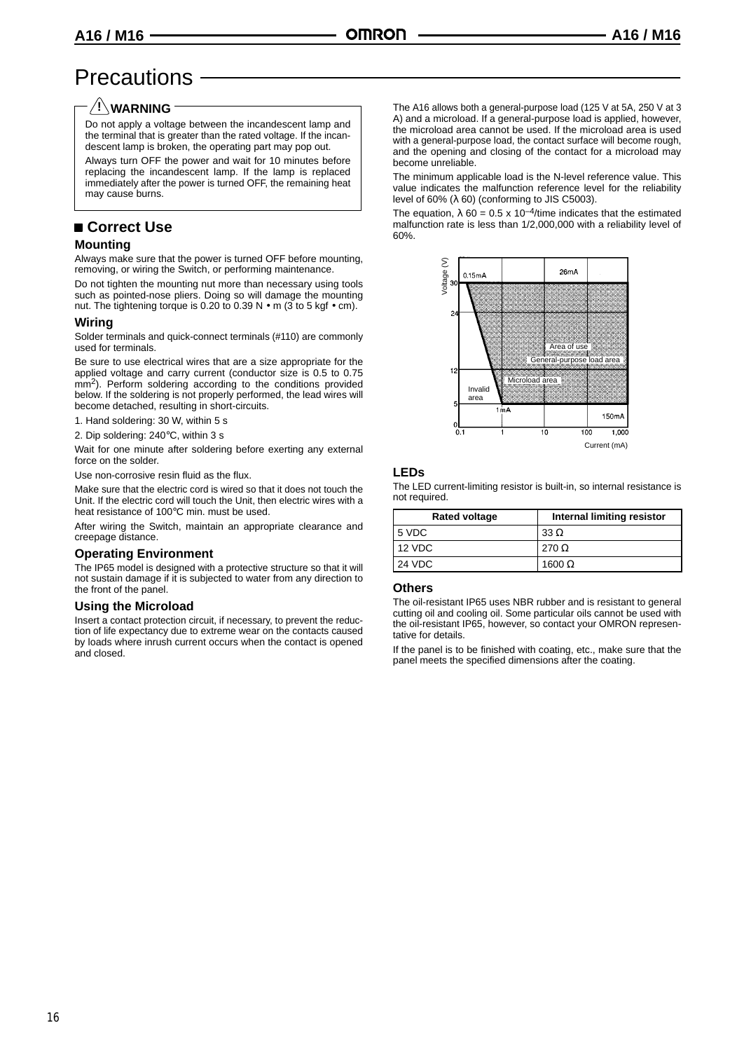## **Precautions**

#### **WARNING !**

Do not apply a voltage between the incandescent lamp and the terminal that is greater than the rated voltage. If the incandescent lamp is broken, the operating part may pop out.

Always turn OFF the power and wait for 10 minutes before replacing the incandescent lamp. If the lamp is replaced immediately after the power is turned OFF, the remaining heat may cause burns.

#### **Correct Use**

#### **Mounting**

Always make sure that the power is turned OFF before mounting, removing, or wiring the Switch, or performing maintenance.

Do not tighten the mounting nut more than necessary using tools such as pointed-nose pliers. Doing so will damage the mounting nut. The tightening torque is 0.20 to 0.39 N · m (3 to 5 kgf · cm).

#### **Wiring**

Solder terminals and quick-connect terminals (#110) are commonly used for terminals.

Be sure to use electrical wires that are a size appropriate for the applied voltage and carry current (conductor size is 0.5 to 0.75 mm2). Perform soldering according to the conditions provided below. If the soldering is not properly performed, the lead wires will become detached, resulting in short-circuits.

1. Hand soldering: 30 W, within 5 s

2. Dip soldering: 240°C, within 3 s

Wait for one minute after soldering before exerting any external force on the solder.

Use non-corrosive resin fluid as the flux.

Make sure that the electric cord is wired so that it does not touch the Unit. If the electric cord will touch the Unit, then electric wires with a heat resistance of 100°C min. must be used.

After wiring the Switch, maintain an appropriate clearance and creepage distance.

#### **Operating Environment**

The IP65 model is designed with a protective structure so that it will not sustain damage if it is subjected to water from any direction to the front of the panel.

#### **Using the Microload**

Insert a contact protection circuit, if necessary, to prevent the reduction of life expectancy due to extreme wear on the contacts caused by loads where inrush current occurs when the contact is opened and closed.

The A16 allows both a general-purpose load (125 V at 5A, 250 V at 3 A) and a microload. If a general-purpose load is applied, however, the microload area cannot be used. If the microload area is used with a general-purpose load, the contact surface will become rough, and the opening and closing of the contact for a microload may become unreliable.

The minimum applicable load is the N-level reference value. This value indicates the malfunction reference level for the reliability level of 60%  $(λ 60)$  (conforming to JIS C5003).

The equation,  $\lambda$  60 = 0.5 x 10<sup>-4</sup>/time indicates that the estimated malfunction rate is less than 1/2,000,000 with a reliability level of 60%.



#### **LEDs**

The LED current-limiting resistor is built-in, so internal resistance is not required.

| <b>Rated voltage</b> | <b>Internal limiting resistor</b> |
|----------------------|-----------------------------------|
| 5 VDC                | 33 $\Omega$                       |
| 12 VDC               | 270 $\Omega$                      |
| 24 VDC               | 1600 $\Omega$                     |

#### **Others**

The oil-resistant IP65 uses NBR rubber and is resistant to general cutting oil and cooling oil. Some particular oils cannot be used with the oil-resistant IP65, however, so contact your OMRON representative for details.

If the panel is to be finished with coating, etc., make sure that the panel meets the specified dimensions after the coating.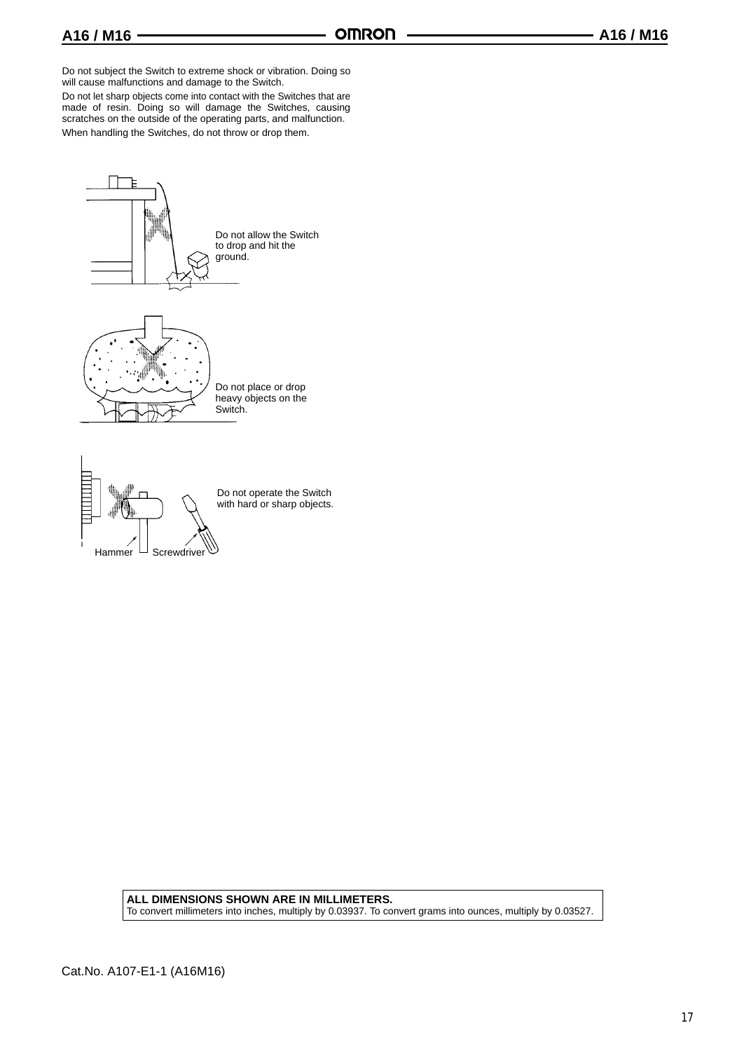Do not subject the Switch to extreme shock or vibration. Doing so will cause malfunctions and damage to the Switch.

Do not let sharp objects come into contact with the Switches that are made of resin. Doing so will damage the Switches, causing scratches on the outside of the operating parts, and malfunction.

When handling the Switches, do not throw or drop them.





Do not operate the Switch with hard or sharp objects.

**ALL DIMENSIONS SHOWN ARE IN MILLIMETERS.** To convert millimeters into inches, multiply by 0.03937. To convert grams into ounces, multiply by 0.03527.